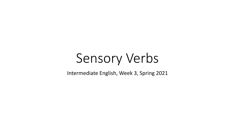# Sensory Verbs

Intermediate English, Week 3, Spring 2021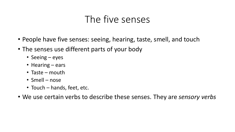#### The five senses

- People have five senses: seeing, hearing, taste, smell, and touch
- The senses use different parts of your body
	- Seeing eyes
	- Hearing ears
	- Taste mouth
	- Smell nose
	- Touch hands, feet, etc.
- We use certain verbs to describe these senses. They are *sensory verbs*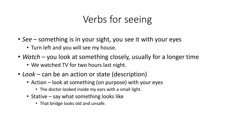# Verbs for seeing

- *See*  something is in your sight, you see it with your eyes
	- Turn left and you will see my house.
- *Watch* you look at something closely, usually for a longer time
	- We watched TV for two hours last night.
- *Look –* can be an action or state (description)
	- Action look at something (on purpose) with your eyes
		- The doctor looked inside my ears with a small light.
	- Stative say what something looks like
		- That bridge looks old and unsafe.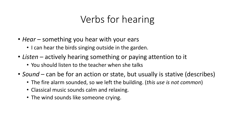# Verbs for hearing

- *Hear* something you hear with your ears
	- I can hear the birds singing outside in the garden.
- *Listen* actively hearing something or paying attention to it
	- You should listen to the teacher when she talks
- *Sound* can be for an action or state, but usually is stative (describes)
	- The fire alarm sounded, so we left the building. (*this use is not common*)
	- Classical music sounds calm and relaxing.
	- The wind sounds like someone crying.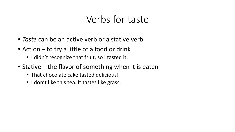## Verbs for taste

- *Taste* can be an active verb or a stative verb
- Action to try a little of a food or drink
	- I didn't recognize that fruit, so I tasted it.
- Stative the flavor of something when it is eaten
	- That chocolate cake tasted delicious!
	- I don't like this tea. It tastes like grass.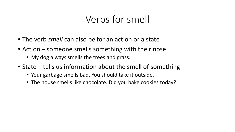## Verbs for smell

- The verb *smell* can also be for an action or a state
- Action someone smells something with their nose
	- My dog always smells the trees and grass.
- State tells us information about the smell of something
	- Your garbage smells bad. You should take it outside.
	- The house smells like chocolate. Did you bake cookies today?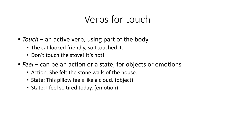### Verbs for touch

- *Touch* an active verb, using part of the body
	- The cat looked friendly, so I touched it.
	- Don't touch the stove! It's hot!
- *Feel* can be an action or a state, for objects or emotions
	- Action: She felt the stone walls of the house.
	- State: This pillow feels like a cloud. (object)
	- State: I feel so tired today. (emotion)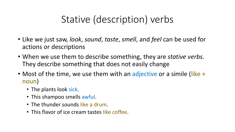# Stative (description) verbs

- Like we just saw, *look*, *sound*, *taste*, *smell*, and *feel* can be used for actions or descriptions
- When we use them to describe something, they are *stative verbs*. They describe something that does not easily change
- Most of the time, we use them with an adjective or a simile (like + noun)
	- The plants look sick.
	- This shampoo smells awful.
	- The thunder sounds like a drum.
	- This flavor of ice cream tastes like coffee.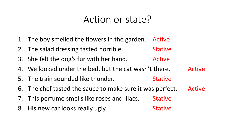#### Action or state?

- 1. The boy smelled the flowers in the garden. Active
- 2. The salad dressing tasted horrible. **Stative**
- 3. She felt the dog's fur with her hand. Active
- 4. We looked under the bed, but the cat wasn't there. Active
- 5. The train sounded like thunder. **Stative**
- 6. The chef tasted the sauce to make sure it was perfect. Active

**Stative** 

- 7. This perfume smells like roses and lilacs. **Stative**
- 8. His new car looks really ugly.